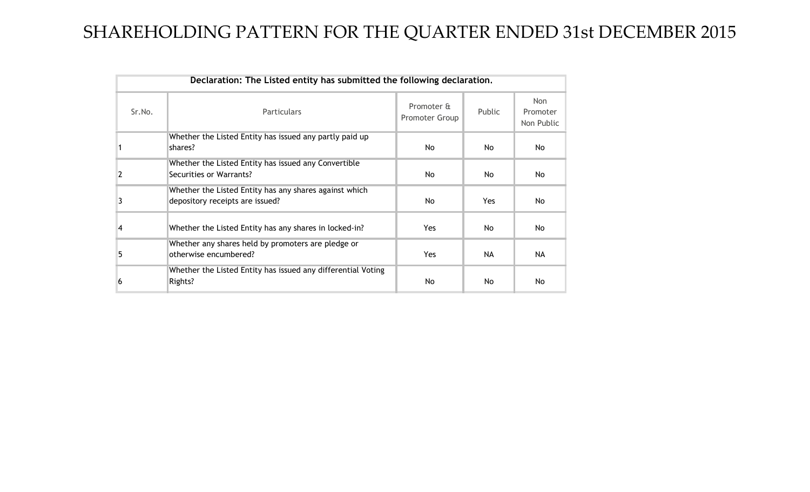## SHAREHOLDING PATTERN FOR THE QUARTER ENDED 31st DECEMBER 2015

| Declaration: The Listed entity has submitted the following declaration. |                                                                                           |                                     |        |                                      |  |  |  |  |  |  |  |  |  |
|-------------------------------------------------------------------------|-------------------------------------------------------------------------------------------|-------------------------------------|--------|--------------------------------------|--|--|--|--|--|--|--|--|--|
| Sr.No.                                                                  | <b>Particulars</b>                                                                        | Promoter &<br><b>Promoter Group</b> | Public | <b>Non</b><br>Promoter<br>Non Public |  |  |  |  |  |  |  |  |  |
|                                                                         | Whether the Listed Entity has issued any partly paid up<br>shares?                        | No.                                 | No.    | <b>No</b>                            |  |  |  |  |  |  |  |  |  |
|                                                                         | Whether the Listed Entity has issued any Convertible<br>Securities or Warrants?           | No.                                 | No.    | <b>No</b>                            |  |  |  |  |  |  |  |  |  |
| 3                                                                       | Whether the Listed Entity has any shares against which<br>depository receipts are issued? | No.                                 | Yes    | No                                   |  |  |  |  |  |  |  |  |  |
| 4                                                                       | Whether the Listed Entity has any shares in locked-in?                                    | <b>Yes</b>                          | No.    | No                                   |  |  |  |  |  |  |  |  |  |
| 5                                                                       | Whether any shares held by promoters are pledge or<br>otherwise encumbered?               | <b>Yes</b>                          | NA.    | <b>NA</b>                            |  |  |  |  |  |  |  |  |  |
| b                                                                       | Whether the Listed Entity has issued any differential Voting<br>Rights?                   | No.                                 | No.    | <b>No</b>                            |  |  |  |  |  |  |  |  |  |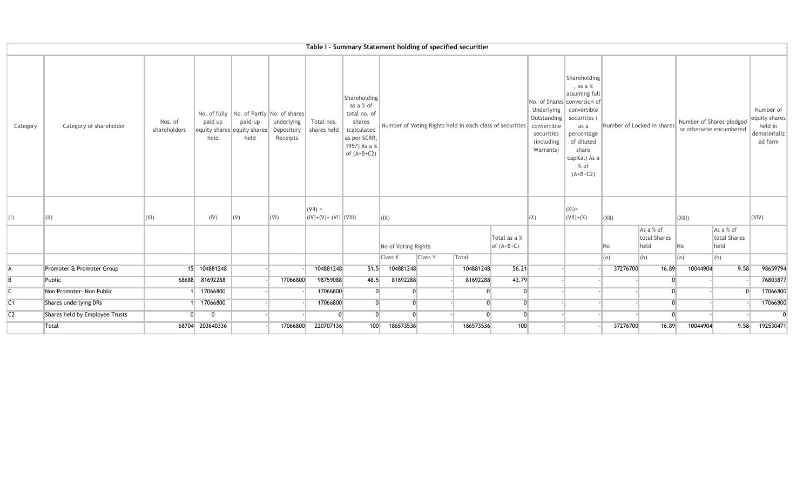|                |                                |                         |                 |                                                                                                |                                      |                                     |                                                                                                                     |                     |                | Table I - Summary Statement holding of specified securities |                                                          |                                                                                                                  |                                                                                                                                                              |               |                                   |                                                     |                                                                  |                |
|----------------|--------------------------------|-------------------------|-----------------|------------------------------------------------------------------------------------------------|--------------------------------------|-------------------------------------|---------------------------------------------------------------------------------------------------------------------|---------------------|----------------|-------------------------------------------------------------|----------------------------------------------------------|------------------------------------------------------------------------------------------------------------------|--------------------------------------------------------------------------------------------------------------------------------------------------------------|---------------|-----------------------------------|-----------------------------------------------------|------------------------------------------------------------------|----------------|
| Category       | Category of shareholder        | Nos. of<br>shareholders | paid up<br>held | No. of fully   No. of Partly   No. of shares<br>paid-up<br>equity shares equity shares<br>held | underlying<br>Depository<br>Receipts | Total nos.<br>shares held           | Shareholding<br>as a % of<br>total no. of<br>shares<br>(calculated<br>as per SCRR,<br>1957) As a %<br>of $(A+B+C2)$ |                     |                |                                                             | Number of Voting Rights held in each class of securities | No. of Shares conversion of<br>Underlying<br>Outstanding<br>convertible<br>securities<br>(including<br>Warrants) | Shareholding<br>, as a %<br>assuming full<br>convertible<br>securities (<br>as a<br>percentage<br>of diluted<br>share<br>capital) As a<br>% of<br>$(A+B+C2)$ |               | Number of Locked in shares        | Number of Shares pledged<br>or otherwise encumbered | Number of<br>equity shares<br>held in<br>dematerializ<br>ed form |                |
| $\vert$ (I)    | (11)                           | (III)                   | (IV)            | (V)                                                                                            | $\vert$ (VI)                         | $(VII) =$<br>$( V)+(V)+(V) $ (VIII) |                                                                                                                     | (IX)                |                |                                                             |                                                          | (X)                                                                                                              | $ (X )=$<br>$(VII)+(X)$                                                                                                                                      | $\Vert$ (XII) |                                   | (XIII)                                              |                                                                  | (XIV)          |
|                |                                |                         |                 |                                                                                                |                                      |                                     |                                                                                                                     | No of Voting Rights |                |                                                             | Total as a %<br>of $(A+B+C)$                             |                                                                                                                  |                                                                                                                                                              | No            | As a % of<br>total Shares<br>held | No                                                  | As a % of<br>total Shares<br>held                                |                |
|                |                                |                         |                 |                                                                                                |                                      |                                     |                                                                                                                     | Class X             | <b>Class Y</b> | Total                                                       |                                                          |                                                                                                                  |                                                                                                                                                              | (a)           | (b)                               | (a)                                                 | (b)                                                              |                |
| A              | Promoter & Promoter Group      |                         | 15 104881248    |                                                                                                |                                      | 104881248                           | 51.5                                                                                                                | 104881248           |                | 104881248                                                   | 56.21                                                    |                                                                                                                  |                                                                                                                                                              | 37276700      | 16.89                             | 10044904                                            | 9.58                                                             | 98659794       |
| B              | Public                         |                         | 68688 81692288  |                                                                                                | 17066800                             | 98759088                            | 48.5                                                                                                                | 81692288            |                | 81692288                                                    | 43.79                                                    |                                                                                                                  |                                                                                                                                                              |               |                                   |                                                     |                                                                  | 76803877       |
| C              | Non Promoter- Non Public       |                         | 17066800        |                                                                                                |                                      | 17066800                            | $\Omega$                                                                                                            | n.                  |                | $\Omega$                                                    | $\overline{0}$                                           |                                                                                                                  |                                                                                                                                                              |               | $\Omega$                          |                                                     | $\Omega$                                                         | 17066800       |
| C1             | Shares underlying DRs          |                         | 17066800        |                                                                                                |                                      | 17066800                            | $\Omega$                                                                                                            | $\Omega$            |                | $\Omega$                                                    | $\overline{0}$                                           |                                                                                                                  |                                                                                                                                                              |               | $\Omega$                          |                                                     |                                                                  | 17066800       |
| C <sub>2</sub> | Shares held by Employee Trusts | $\Omega$                | $\overline{0}$  |                                                                                                |                                      | $\Omega$                            | $\Omega$                                                                                                            | $\Omega$            |                | $\Omega$                                                    | $\overline{0}$                                           |                                                                                                                  |                                                                                                                                                              |               | $\Omega$                          |                                                     |                                                                  | $\overline{0}$ |
|                | Total                          |                         | 68704 203640336 |                                                                                                | 17066800                             | 220707136                           | 100                                                                                                                 | 186573536           |                | 186573536                                                   | 100                                                      |                                                                                                                  |                                                                                                                                                              | 37276700      | 16.89                             | 10044904                                            | 9.58                                                             | 192530471      |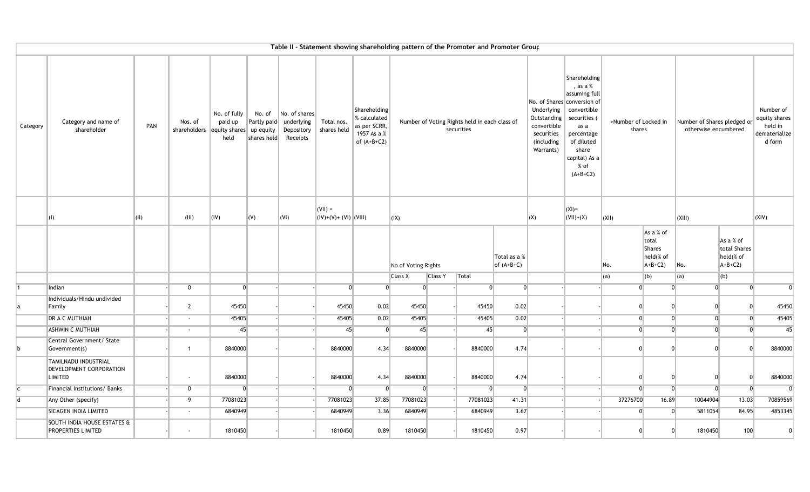|              |                                                                   |      |                          | Table II - Statement showing shareholding pattern of the Promoter and Promoter Group |                                      |                                                       |                                               |                                                                              |                     |                |                                                             |                              |                                                                                   |                                                                                                                                                                                               |                                |                                                              |                                                     |                                                    |                                                                  |
|--------------|-------------------------------------------------------------------|------|--------------------------|--------------------------------------------------------------------------------------|--------------------------------------|-------------------------------------------------------|-----------------------------------------------|------------------------------------------------------------------------------|---------------------|----------------|-------------------------------------------------------------|------------------------------|-----------------------------------------------------------------------------------|-----------------------------------------------------------------------------------------------------------------------------------------------------------------------------------------------|--------------------------------|--------------------------------------------------------------|-----------------------------------------------------|----------------------------------------------------|------------------------------------------------------------------|
| Category     | Category and name of<br>shareholder                               | PAN  | Nos. of                  | No. of fully<br>paid up<br>shareholders equity shares up equity<br>held              | No. of<br>Partly paid<br>shares held | No. of shares<br>underlying<br>Depository<br>Receipts | Total nos.<br>shares held                     | Shareholding<br>% calculated<br>as per SCRR,<br>1957 As a %<br>of $(A+B+C2)$ |                     |                | Number of Voting Rights held in each class of<br>securities |                              | Underlying<br>Outstanding<br>convertible<br>securities<br>(including<br>Warrants) | Shareholding<br>, as a $%$<br>assuming full<br>No. of Shares conversion of<br>convertible<br>securities<br>as a<br>percentage<br>of diluted<br>share<br>capital) As a<br>$%$ of<br>$(A+B+C2)$ | >Number of Locked in<br>shares |                                                              | Number of Shares pledged or<br>otherwise encumbered |                                                    | Number of<br>equity shares<br>held in<br>dematerialize<br>d form |
|              | $\vert$ (I)                                                       | (II) | (III)                    | (IV)                                                                                 | (V)                                  | (VI)                                                  | $(VII) =$<br>$\  ( V)+(V)+(V)  \,   (V  ) \ $ |                                                                              | $\vert$ (IX)        |                |                                                             |                              | (X)                                                                               | $(XI)$ =<br>$\vert$ (VII)+(X)                                                                                                                                                                 | $\vert$ (XII)                  |                                                              | (XIII)                                              |                                                    | (XIV)                                                            |
|              |                                                                   |      |                          |                                                                                      |                                      |                                                       |                                               |                                                                              | No of Voting Rights |                |                                                             | Total as a %<br>$of (A+B+C)$ |                                                                                   |                                                                                                                                                                                               | No.                            | As a % of<br>total<br><b>Shares</b><br>held(% of<br>$A+B+C2$ | No.                                                 | As a % of<br>total Shares<br>held(% of<br>$A+B+C2$ |                                                                  |
|              |                                                                   |      |                          |                                                                                      |                                      |                                                       |                                               |                                                                              | Class X             | <b>Class Y</b> | Total                                                       |                              |                                                                                   |                                                                                                                                                                                               | (a)                            | (b)                                                          | (a)                                                 | (b)                                                |                                                                  |
|              | Indian                                                            |      | $\overline{0}$           | $\Omega$                                                                             |                                      |                                                       | 0                                             | $\Omega$                                                                     | $\overline{0}$      |                | $\overline{0}$                                              | $\Omega$                     |                                                                                   |                                                                                                                                                                                               | $\Omega$                       | $\Omega$                                                     | $\overline{0}$                                      | $\overline{0}$                                     | $\Omega$                                                         |
|              | Individuals/Hindu undivided<br>Family                             |      | $\overline{2}$           | 45450                                                                                |                                      |                                                       | 45450                                         | 0.02                                                                         | 45450               |                | 45450                                                       | 0.02                         |                                                                                   |                                                                                                                                                                                               | $\Omega$                       | 0                                                            | 0                                                   | $\overline{0}$                                     | 45450                                                            |
|              | DR A C MUTHIAH                                                    |      | $\overline{\phantom{a}}$ | 45405                                                                                |                                      |                                                       | 45405                                         | 0.02                                                                         | 45405               |                | 45405                                                       | 0.02                         |                                                                                   |                                                                                                                                                                                               | $\overline{0}$                 | $\Omega$                                                     | $\Omega$                                            | $\overline{0}$                                     | 45405                                                            |
|              | <b>ASHWIN C MUTHIAH</b>                                           |      | $\sim$                   | 45                                                                                   |                                      |                                                       | 45                                            | $\overline{0}$                                                               | 45                  |                | 45                                                          | $\overline{0}$               |                                                                                   |                                                                                                                                                                                               | $\overline{0}$                 | $\Omega$                                                     | $\overline{0}$                                      | $\Omega$                                           | 45                                                               |
| b            | Central Government/ State<br>Government(s)                        |      | $\overline{1}$           | 8840000                                                                              |                                      |                                                       | 8840000                                       | 4.34                                                                         | 8840000             |                | 8840000                                                     | 4.74                         |                                                                                   |                                                                                                                                                                                               | $\Omega$                       | $\Omega$                                                     | $\Omega$                                            | $\overline{0}$                                     | 8840000                                                          |
|              | TAMILNADU INDUSTRIAL<br>DEVELOPMENT CORPORATION<br><b>LIMITED</b> |      | $\sim$                   | 8840000                                                                              |                                      |                                                       | 8840000                                       | 4.34                                                                         | 8840000             |                | 8840000                                                     | 4.74                         |                                                                                   |                                                                                                                                                                                               |                                |                                                              | U                                                   | $\Omega$                                           | 8840000                                                          |
| $\mathsf{C}$ | Financial Institutions/ Banks                                     |      | $\overline{0}$           | $\overline{0}$                                                                       |                                      |                                                       | $\mathbf{0}$                                  | $\overline{0}$                                                               | $\overline{0}$      |                | $\overline{0}$                                              | $\overline{0}$               |                                                                                   |                                                                                                                                                                                               | $\Omega$                       | $\overline{0}$                                               | $\overline{0}$                                      | $\overline{0}$                                     | $\boldsymbol{0}$                                                 |
| d            | Any Other (specify)                                               |      | 9                        | 77081023                                                                             |                                      |                                                       | 77081023                                      | 37.85                                                                        | 77081023            |                | 77081023                                                    | 41.31                        |                                                                                   |                                                                                                                                                                                               | 37276700                       | 16.89                                                        | 10044904                                            | 13.03                                              | 70859569                                                         |
|              | SICAGEN INDIA LIMITED                                             |      | $\overline{\phantom{a}}$ | 6840949                                                                              |                                      |                                                       | 6840949                                       | 3.36                                                                         | 6840949             |                | 6840949                                                     | 3.67                         |                                                                                   |                                                                                                                                                                                               | $\overline{0}$                 | $\overline{0}$                                               | 5811054                                             | 84.95                                              | 4853345                                                          |
|              | SOUTH INDIA HOUSE ESTATES &<br>PROPERTIES LIMITED                 |      |                          | 1810450                                                                              |                                      |                                                       | 1810450                                       | 0.89                                                                         | 1810450             |                | 1810450                                                     | 0.97                         |                                                                                   |                                                                                                                                                                                               |                                | $\Omega$                                                     | 1810450                                             | 100                                                | $\Omega$                                                         |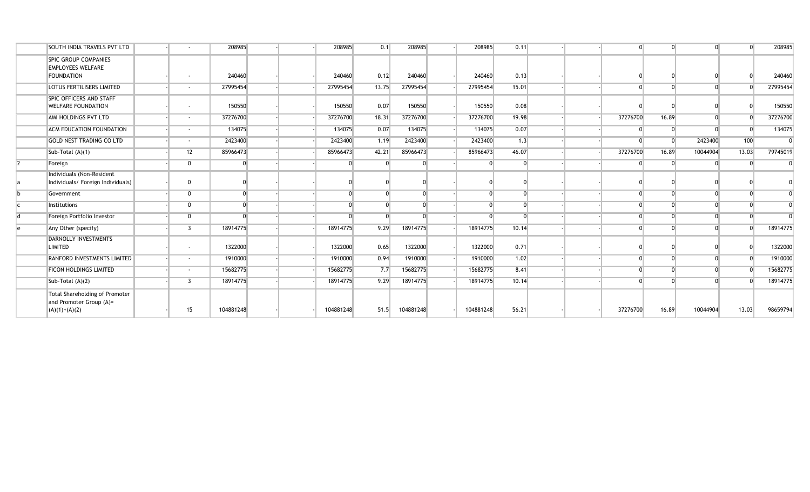|                | <b>SOUTH INDIA TRAVELS PVT LTD</b>                                           |                          | 208985    |  | 208985    | 0.1      | 208985    | 208985    | 0.11  |  |          |          |          | $\Omega$       | 208985   |
|----------------|------------------------------------------------------------------------------|--------------------------|-----------|--|-----------|----------|-----------|-----------|-------|--|----------|----------|----------|----------------|----------|
|                | <b>SPIC GROUP COMPANIES</b><br><b>EMPLOYEES WELFARE</b><br><b>FOUNDATION</b> |                          | 240460    |  | 240460    | 0.12     | 240460    | 240460    | 0.13  |  |          |          |          | $\Omega$       | 240460   |
|                |                                                                              | $\overline{\phantom{a}}$ |           |  |           |          |           |           |       |  |          |          |          |                |          |
|                | <b>LOTUS FERTILISERS LIMITED</b>                                             | $\overline{\phantom{a}}$ | 27995454  |  | 27995454  | 13.75    | 27995454  | 27995454  | 15.01 |  |          |          |          | $\Omega$       | 27995454 |
|                | <b>SPIC OFFICERS AND STAFF</b><br><b>WELFARE FOUNDATION</b>                  | $\overline{\phantom{a}}$ | 150550    |  | 150550    | 0.07     | 150550    | 150550    | 0.08  |  |          |          |          | $\Omega$       | 150550   |
|                | AMI HOLDINGS PVT LTD                                                         | $\overline{\phantom{a}}$ | 37276700  |  | 37276700  | 18.31    | 37276700  | 37276700  | 19.98 |  | 37276700 | 16.89    | $\Omega$ | $\overline{0}$ | 37276700 |
|                | <b>ACM EDUCATION FOUNDATION</b>                                              | $\overline{\phantom{a}}$ | 134075    |  | 134075    | 0.07     | 134075    | 134075    | 0.07  |  |          |          |          | $\Omega$       | 134075   |
|                | <b>GOLD NEST TRADING CO LTD</b>                                              | $\overline{\phantom{a}}$ | 2423400   |  | 2423400   | 1.19     | 2423400   | 2423400   | 1.3   |  |          | $\Omega$ | 2423400  | 100            | $\Omega$ |
|                | Sub-Total (A)(1)                                                             | 12                       | 85966473  |  | 85966473  | 42.21    | 85966473  | 85966473  | 46.07 |  | 37276700 | 16.89    | 10044904 | 13.03          | 79745019 |
| $\overline{2}$ | Foreign                                                                      | 0                        |           |  |           | $\Omega$ | $\Omega$  |           |       |  |          | $\Omega$ | $\Omega$ | $\Omega$       |          |
|                | Individuals (Non-Resident<br>Individuals/ Foreign Individuals)               | $\overline{0}$           |           |  |           |          |           |           |       |  |          |          |          |                |          |
| h              | Government                                                                   | $\Omega$                 |           |  |           | $\Omega$ |           |           |       |  |          |          |          | $\Omega$       |          |
|                | Institutions                                                                 | $\Omega$                 |           |  |           | $\Omega$ | $\Omega$  |           |       |  |          |          |          | $\Omega$       |          |
|                | Foreign Portfolio Investor                                                   | $\Omega$                 |           |  |           | $\Omega$ |           |           |       |  |          |          |          | $\Omega$       |          |
| $\epsilon$     | Any Other (specify)                                                          | $\overline{3}$           | 18914775  |  | 18914775  | 9.29     | 18914775  | 18914775  | 10.14 |  |          |          | $\Omega$ | $\Omega$       | 18914775 |
|                | <b>DARNOLLY INVESTMENTS</b><br><b>LIMITED</b>                                | $\overline{\phantom{a}}$ | 1322000   |  | 1322000   | 0.65     | 1322000   | 1322000   | 0.71  |  |          |          |          | $\Omega$       | 1322000  |
|                | <b>RANFORD INVESTMENTS LIMITED</b>                                           | $\overline{\phantom{a}}$ | 1910000   |  | 1910000   | 0.94     | 1910000   | 1910000   | 1.02  |  |          |          |          | $\Omega$       | 1910000  |
|                | <b>FICON HOLDINGS LIMITED</b>                                                | $\overline{\phantom{a}}$ | 15682775  |  | 15682775  | 7.7      | 15682775  | 15682775  | 8.41  |  |          |          |          | $\Omega$       | 15682775 |
|                | Sub-Total (A)(2)                                                             | -3                       | 18914775  |  | 18914775  | 9.29     | 18914775  | 18914775  | 10.14 |  |          |          |          | $\Omega$       | 18914775 |
|                | Total Shareholding of Promoter<br>and Promoter Group (A)=<br>$(A)(1)+(A)(2)$ | 15                       | 104881248 |  | 104881248 | 51.5     | 104881248 | 104881248 | 56.21 |  | 37276700 | 16.89    | 10044904 | 13.03          | 98659794 |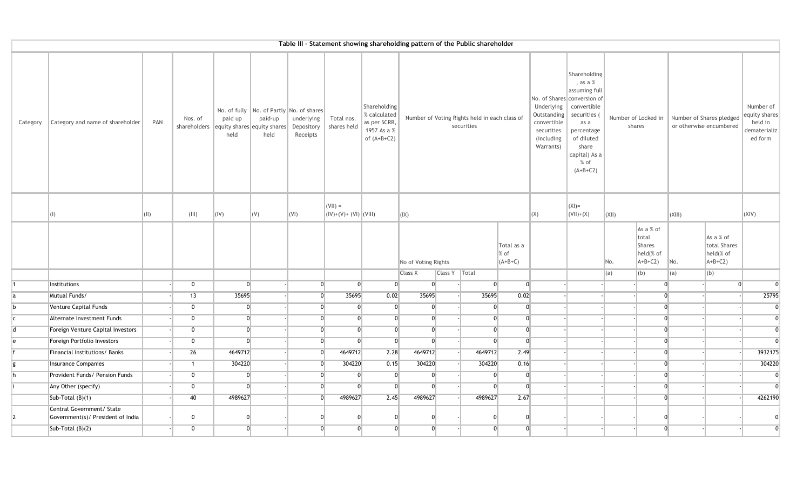|            | Table III - Statement showing shareholding pattern of the Public shareholder |              |                                                     |                 |                 |                                                                                  |                                     |                                                                              |                     |                 |                                                             |                                   |                                                                                   |                                                                                                                                                                                                 |       |                                                              |                |                                                     |                                                                  |
|------------|------------------------------------------------------------------------------|--------------|-----------------------------------------------------|-----------------|-----------------|----------------------------------------------------------------------------------|-------------------------------------|------------------------------------------------------------------------------|---------------------|-----------------|-------------------------------------------------------------|-----------------------------------|-----------------------------------------------------------------------------------|-------------------------------------------------------------------------------------------------------------------------------------------------------------------------------------------------|-------|--------------------------------------------------------------|----------------|-----------------------------------------------------|------------------------------------------------------------------|
| Category   | Category and name of shareholder                                             | PAN          | Nos. of<br>shareholders equity shares equity shares | paid up<br>held | paid-up<br>held | No. of fully No. of Partly No. of shares<br>underlying<br>Depository<br>Receipts | Total nos.<br>shares held           | Shareholding<br>% calculated<br>as per SCRR,<br>1957 As a %<br>of $(A+B+C2)$ |                     |                 | Number of Voting Rights held in each class of<br>securities |                                   | Underlying<br>Outstanding<br>convertible<br>securities<br>(including<br>Warrants) | Shareholding<br>, as a $%$<br>assuming full<br>No. of Shares conversion of<br>convertible<br>securities (<br>as a<br>percentage<br>of diluted<br>share<br>capital) As a<br>$%$ of<br>$(A+B+C2)$ |       | Number of Locked in<br>shares                                |                | Number of Shares pledged<br>or otherwise encumbered | Number of<br>equity shares<br>held in<br>dematerializ<br>ed form |
|            | $\vert$ (I)                                                                  | $\vert$ (II) | (III)                                               | (IV)            | (V)             | $\vert$ (VI)                                                                     | $(VII) =$<br>$( V)+(V)+(V) $ (VIII) |                                                                              | (IX)                |                 |                                                             |                                   | (X)                                                                               | $(XI) =$<br>$(VII)+(X)$                                                                                                                                                                         | (XII) |                                                              | $\vert$ (XIII) |                                                     | (XIV)                                                            |
|            |                                                                              |              |                                                     |                 |                 |                                                                                  |                                     |                                                                              | No of Voting Rights |                 |                                                             | Total as a<br>$%$ of<br>$(A+B+C)$ |                                                                                   |                                                                                                                                                                                                 | No.   | As a % of<br>total<br><b>Shares</b><br>held(% of<br>$A+B+C2$ | No.            | As a % of<br>total Shares<br>held(% of<br>$A+B+C2$  |                                                                  |
|            |                                                                              |              |                                                     |                 |                 |                                                                                  |                                     |                                                                              | <b>Class X</b>      | Class Y   Total |                                                             |                                   |                                                                                   |                                                                                                                                                                                                 | (a)   | (b)                                                          | (a)            | (b)                                                 |                                                                  |
|            | Institutions                                                                 |              | $\mathbf{0}$                                        | $\overline{0}$  |                 | $\overline{0}$                                                                   | $\overline{0}$                      | $\Omega$                                                                     | $\overline{0}$      |                 | $\overline{0}$                                              | 0                                 |                                                                                   |                                                                                                                                                                                                 |       |                                                              | $\overline{0}$ | $\Omega$                                            | $\Omega$                                                         |
| <b>a</b>   | Mutual Funds/                                                                |              | 13                                                  | 35695           |                 | $\overline{0}$                                                                   | 35695                               | 0.02                                                                         | 35695               |                 | 35695                                                       | 0.02                              |                                                                                   |                                                                                                                                                                                                 |       | $\overline{0}$                                               |                |                                                     | 25795                                                            |
| b          | Venture Capital Funds                                                        |              | $\mathbf 0$                                         | $\overline{0}$  |                 | $\overline{0}$                                                                   | $\Omega$                            | $\mathbf{0}$                                                                 | $\mathbf{0}$        |                 | $\mathbf{0}$                                                | 0                                 |                                                                                   |                                                                                                                                                                                                 |       | $\overline{0}$                                               |                |                                                     | $\mathbf 0$                                                      |
| $\epsilon$ | Alternate Investment Funds                                                   |              | $\overline{0}$                                      | $\overline{0}$  |                 | $\overline{0}$                                                                   | $\Omega$                            | $\Omega$                                                                     | $\overline{0}$      |                 |                                                             | $\overline{0}$<br>$\overline{0}$  |                                                                                   |                                                                                                                                                                                                 |       | $\overline{0}$                                               |                |                                                     | $\overline{0}$                                                   |
| d          | Foreign Venture Capital Investors                                            |              | $\mathbf 0$                                         | $\overline{0}$  |                 | $\overline{0}$                                                                   | $\overline{0}$                      | $\mathbf{0}$                                                                 | $\overline{0}$      |                 | $\overline{0}$                                              |                                   | 0                                                                                 |                                                                                                                                                                                                 |       | $\overline{0}$                                               |                |                                                     | $\overline{0}$                                                   |
| e          | Foreign Portfolio Investors                                                  |              | 0                                                   | $\overline{0}$  |                 | $\overline{0}$                                                                   | $\Omega$                            | $\overline{0}$                                                               | $\overline{0}$      |                 |                                                             | $\overline{0}$<br>$\overline{0}$  |                                                                                   |                                                                                                                                                                                                 |       | $\overline{0}$                                               |                |                                                     | $\Omega$                                                         |
|            | Financial Institutions/ Banks                                                |              | 26                                                  | 4649712         |                 | $\overline{0}$                                                                   | 4649712                             | 2.28                                                                         | 4649712             |                 | 4649712                                                     | 2.49                              |                                                                                   |                                                                                                                                                                                                 |       | $\overline{0}$                                               |                |                                                     | 3932175                                                          |
| ø          | <b>Insurance Companies</b>                                                   |              | $\mathbf{1}$                                        | 304220          |                 | $\overline{0}$                                                                   | 304220                              | 0.15                                                                         | 304220              |                 | 304220                                                      | 0.16                              |                                                                                   |                                                                                                                                                                                                 |       | $\overline{0}$                                               |                |                                                     | 304220                                                           |
|            | Provident Funds/ Pension Funds                                               |              | $\mathbf 0$                                         | $\overline{0}$  |                 | $\overline{0}$                                                                   | $\mathbf 0$                         | $\overline{0}$                                                               | $\mathbf{0}$        |                 | $\mathbf{0}$                                                | 0                                 |                                                                                   |                                                                                                                                                                                                 |       | $\overline{0}$                                               |                |                                                     | $\mathbf 0$                                                      |
|            | Any Other (specify)                                                          |              | 0                                                   | $\Omega$        |                 | $\overline{0}$                                                                   |                                     | $\overline{0}$                                                               | $\overline{0}$      |                 | $\Omega$                                                    | $\overline{0}$                    |                                                                                   |                                                                                                                                                                                                 |       | $\overline{0}$                                               |                |                                                     | $\Omega$                                                         |
|            | Sub-Total (B)(1)                                                             |              | 40                                                  | 4989627         |                 | $\overline{0}$                                                                   | 4989627                             | 2.45                                                                         | 4989627             |                 | 4989627                                                     | 2.67                              |                                                                                   |                                                                                                                                                                                                 |       | $\overline{0}$                                               |                |                                                     | 4262190                                                          |
|            | Central Government/ State<br>Government(s)/ President of India               |              | $\mathbf 0$                                         |                 |                 | $\Omega$                                                                         |                                     |                                                                              | $\Omega$            |                 | $\Omega$                                                    | $\Omega$                          |                                                                                   |                                                                                                                                                                                                 |       |                                                              |                |                                                     |                                                                  |
|            | Sub-Total (B)(2)                                                             |              | $\mathbf 0$                                         | $\overline{0}$  |                 | $\overline{0}$                                                                   | $\Omega$                            | $\overline{0}$                                                               | $\overline{0}$      |                 |                                                             | $\overline{0}$                    | $\overline{0}$                                                                    |                                                                                                                                                                                                 |       | $\overline{0}$                                               |                |                                                     | $\overline{0}$                                                   |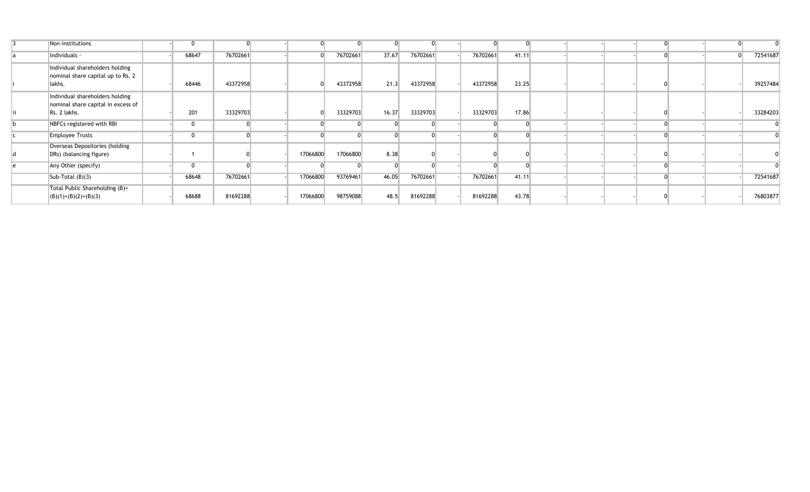| Non-institutions                                                                      |       |          |          |          |       |          |          |       |  |  |  |          |
|---------------------------------------------------------------------------------------|-------|----------|----------|----------|-------|----------|----------|-------|--|--|--|----------|
| Individuals -                                                                         | 68647 | 76702661 |          | 76702661 | 37.67 | 76702661 | 76702661 | 41.11 |  |  |  | 72541687 |
| Individual shareholders holding<br>nominal share capital up to Rs. 2<br>lakhs.        | 68446 | 43372958 |          | 43372958 | 21.3  | 43372958 | 43372958 | 23.25 |  |  |  | 39257484 |
| Individual shareholders holding<br>nominal share capital in excess of<br>Rs. 2 lakhs. | 201   | 33329703 |          | 33329703 | 16.37 | 33329703 | 33329703 | 17.86 |  |  |  | 33284203 |
| NBFCs registered with RBI                                                             |       |          |          |          |       |          |          |       |  |  |  |          |
| <b>Employee Trusts</b>                                                                |       |          |          |          |       |          |          |       |  |  |  |          |
| Overseas Depositories (holding<br>DRs) (balancing figure)                             |       |          | 17066800 | 17066800 | 8.38  |          |          |       |  |  |  |          |
| Any Other (specify)                                                                   |       |          |          |          |       |          |          |       |  |  |  |          |
| Sub-Total $(B)(3)$                                                                    | 68648 | 76702661 | 17066800 | 93769461 | 46.05 | 76702661 | 76702661 | 41.11 |  |  |  | 72541687 |
| Total Public Shareholding (B)=<br>$(B)(1)+(B)(2)+(B)(3)$                              | 68688 | 81692288 | 17066800 | 98759088 | 48.5  | 81692288 | 81692288 | 43.78 |  |  |  | 76803877 |